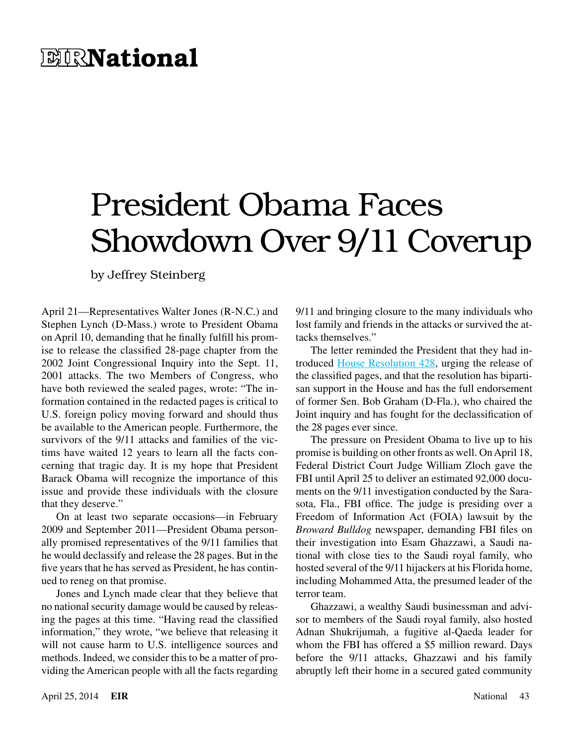## **EIRNational**

## President Obama Faces Showdown Over 9/11 Coverup

by Jeffrey Steinberg

April 21—Representatives Walter Jones (R-N.C.) and Stephen Lynch (D-Mass.) wrote to President Obama on April 10, demanding that he finally fulfill his promise to release the classified 28-page chapter from the 2002 Joint Congressional Inquiry into the Sept. 11, 2001 attacks. The two Members of Congress, who have both reviewed the sealed pages, wrote: "The information contained in the redacted pages is critical to U.S. foreign policy moving forward and should thus be available to the American people. Furthermore, the survivors of the 9/11 attacks and families of the victims have waited 12 years to learn all the facts concerning that tragic day. It is my hope that President Barack Obama will recognize the importance of this issue and provide these individuals with the closure that they deserve."

On at least two separate occasions—in February 2009 and September 2011—President Obama personally promised representatives of the 9/11 families that he would declassify and release the 28 pages. But in the five years that he has served as President, he has continued to reneg on that promise.

Jones and Lynch made clear that they believe that no national security damage would be caused by releasing the pages at this time. "Having read the classified information," they wrote, "we believe that releasing it will not cause harm to U.S. intelligence sources and methods. Indeed, we consider this to be a matter of providing the American people with all the facts regarding 9/11 and bringing closure to the many individuals who lost family and friends in the attacks or survived the attacks themselves."

The letter reminded the President that they had introduced [House Resolution 428](http://beta.congress.gov/bill/113th-congress/house-resolution/428/text), urging the release of the classified pages, and that the resolution has bipartisan support in the House and has the full endorsement of former Sen. Bob Graham (D-Fla.), who chaired the Joint inquiry and has fought for the declassification of the 28 pages ever since.

The pressure on President Obama to live up to his promise is building on other fronts as well. On April 18, Federal District Court Judge William Zloch gave the FBI until April 25 to deliver an estimated 92,000 documents on the 9/11 investigation conducted by the Sarasota, Fla., FBI office. The judge is presiding over a Freedom of Information Act (FOIA) lawsuit by the *Broward Bulldog* newspaper, demanding FBI files on their investigation into Esam Ghazzawi, a Saudi national with close ties to the Saudi royal family, who hosted several of the 9/11 hijackers at his Florida home, including Mohammed Atta, the presumed leader of the terror team.

Ghazzawi, a wealthy Saudi businessman and advisor to members of the Saudi royal family, also hosted Adnan Shukrijumah, a fugitive al-Qaeda leader for whom the FBI has offered a \$5 million reward. Days before the 9/11 attacks, Ghazzawi and his family abruptly left their home in a secured gated community